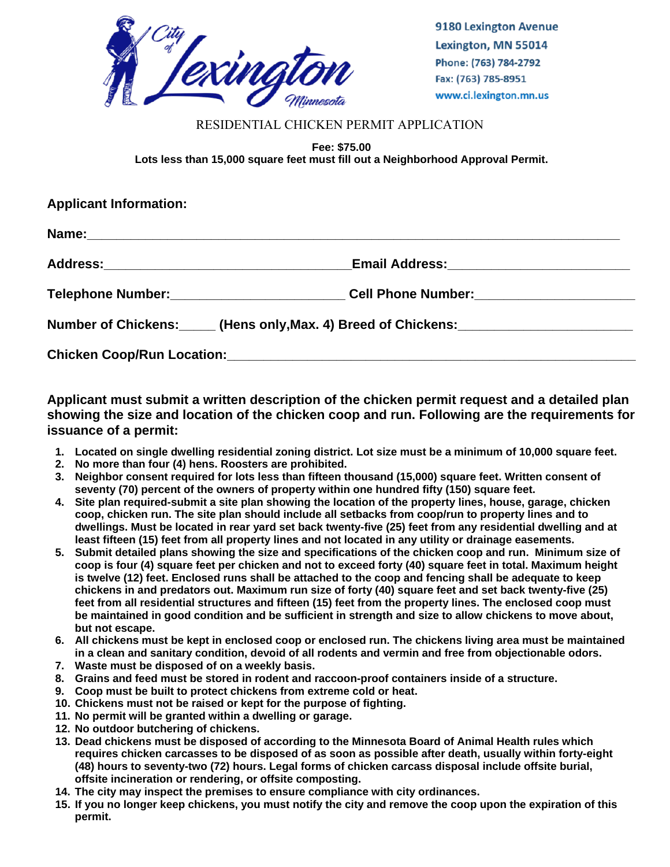

9180 Lexington Avenue Lexington, MN 55014 Phone: (763) 784-2792 Fax: (763) 785-8951 www.ci.lexington.mn.us

## RESIDENTIAL CHICKEN PERMIT APPLICATION

**Fee: \$75.00 Lots less than 15,000 square feet must fill out a Neighborhood Approval Permit.** 

| <b>Applicant Information:</b> |                                                                                     |
|-------------------------------|-------------------------------------------------------------------------------------|
|                               |                                                                                     |
|                               |                                                                                     |
|                               | Telephone Number:_____________________________Cell Phone Number:________________    |
|                               | Number of Chickens: (Hens only, Max. 4) Breed of Chickens: [19] Mumber of Chickens: |
|                               |                                                                                     |

**Applicant must submit a written description of the chicken permit request and a detailed plan showing the size and location of the chicken coop and run. Following are the requirements for issuance of a permit:** 

- **1. Located on single dwelling residential zoning district. Lot size must be a minimum of 10,000 square feet.**
- **2. No more than four (4) hens. Roosters are prohibited.**
- **3. Neighbor consent required for lots less than fifteen thousand (15,000) square feet. Written consent of seventy (70) percent of the owners of property within one hundred fifty (150) square feet.**
- **4. Site plan required-submit a site plan showing the location of the property lines, house, garage, chicken coop, chicken run. The site plan should include all setbacks from coop/run to property lines and to dwellings. Must be located in rear yard set back twenty-five (25) feet from any residential dwelling and at least fifteen (15) feet from all property lines and not located in any utility or drainage easements.**
- **5. Submit detailed plans showing the size and specifications of the chicken coop and run. Minimum size of coop is four (4) square feet per chicken and not to exceed forty (40) square feet in total. Maximum height is twelve (12) feet. Enclosed runs shall be attached to the coop and fencing shall be adequate to keep chickens in and predators out. Maximum run size of forty (40) square feet and set back twenty-five (25) feet from all residential structures and fifteen (15) feet from the property lines. The enclosed coop must be maintained in good condition and be sufficient in strength and size to allow chickens to move about, but not escape.**
- **6. All chickens must be kept in enclosed coop or enclosed run. The chickens living area must be maintained in a clean and sanitary condition, devoid of all rodents and vermin and free from objectionable odors.**
- **7. Waste must be disposed of on a weekly basis.**
- **8. Grains and feed must be stored in rodent and raccoon-proof containers inside of a structure.**
- **9. Coop must be built to protect chickens from extreme cold or heat.**
- **10. Chickens must not be raised or kept for the purpose of fighting.**
- **11. No permit will be granted within a dwelling or garage.**
- **12. No outdoor butchering of chickens.**
- **13. Dead chickens must be disposed of according to the Minnesota Board of Animal Health rules which requires chicken carcasses to be disposed of as soon as possible after death, usually within forty-eight (48) hours to seventy-two (72) hours. Legal forms of chicken carcass disposal include offsite burial, offsite incineration or rendering, or offsite composting.**
- **14. The city may inspect the premises to ensure compliance with city ordinances.**
- **15. If you no longer keep chickens, you must notify the city and remove the coop upon the expiration of this permit.**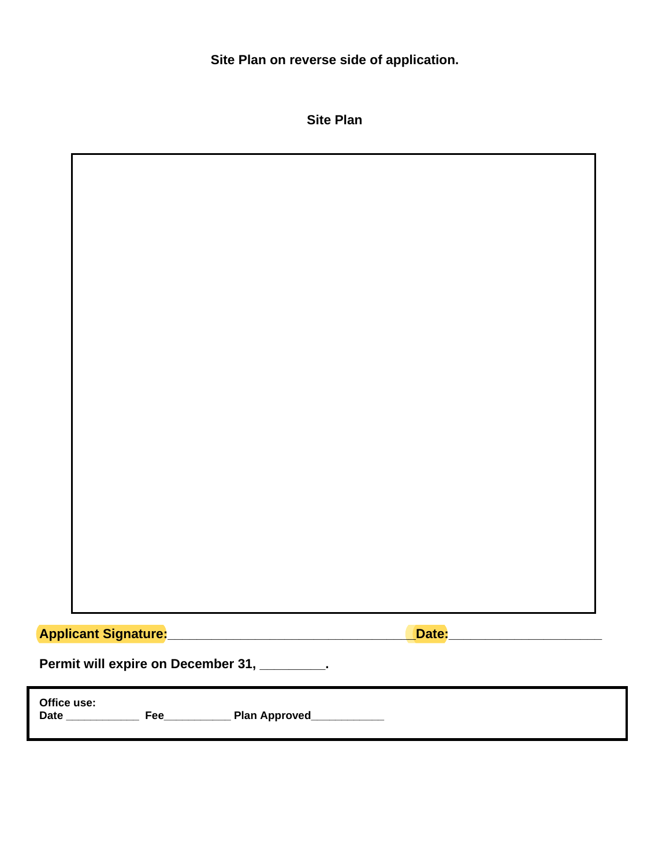**Site Plan on reverse side of application.** 

|                                                                    | <b>Site Plan</b>               |
|--------------------------------------------------------------------|--------------------------------|
|                                                                    |                                |
|                                                                    |                                |
|                                                                    |                                |
|                                                                    |                                |
|                                                                    |                                |
|                                                                    |                                |
|                                                                    |                                |
|                                                                    |                                |
|                                                                    |                                |
|                                                                    |                                |
|                                                                    |                                |
|                                                                    |                                |
|                                                                    |                                |
|                                                                    |                                |
|                                                                    |                                |
|                                                                    |                                |
|                                                                    |                                |
| <mark>Applicant Signature:</mark> ________________________________ | Date: ________________________ |
| Permit will expire on December 31, ________.                       |                                |
| Office use:                                                        |                                |
| Date ______<br>Plan Approved_<br>Fee                               |                                |